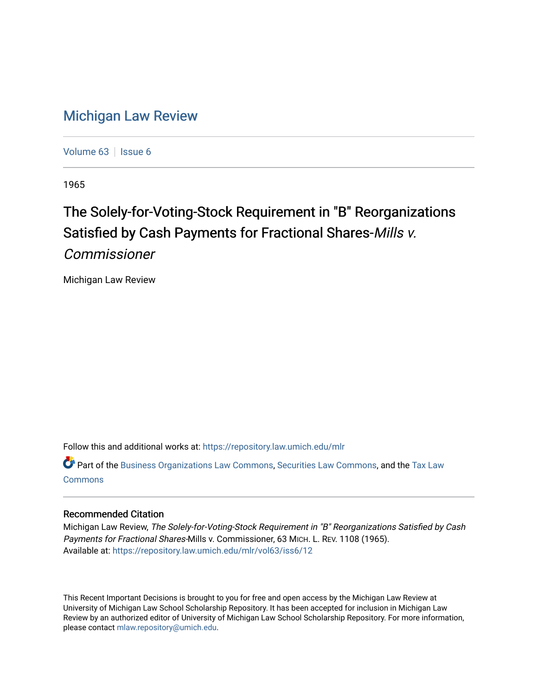## [Michigan Law Review](https://repository.law.umich.edu/mlr)

[Volume 63](https://repository.law.umich.edu/mlr/vol63) | [Issue 6](https://repository.law.umich.edu/mlr/vol63/iss6)

1965

## The Solely-for-Voting-Stock Requirement in "B" Reorganizations Satisfied by Cash Payments for Fractional Shares-Mills v.

Commissioner

Michigan Law Review

Follow this and additional works at: [https://repository.law.umich.edu/mlr](https://repository.law.umich.edu/mlr?utm_source=repository.law.umich.edu%2Fmlr%2Fvol63%2Fiss6%2F12&utm_medium=PDF&utm_campaign=PDFCoverPages) 

Part of the [Business Organizations Law Commons](http://network.bepress.com/hgg/discipline/900?utm_source=repository.law.umich.edu%2Fmlr%2Fvol63%2Fiss6%2F12&utm_medium=PDF&utm_campaign=PDFCoverPages), [Securities Law Commons,](http://network.bepress.com/hgg/discipline/619?utm_source=repository.law.umich.edu%2Fmlr%2Fvol63%2Fiss6%2F12&utm_medium=PDF&utm_campaign=PDFCoverPages) and the [Tax Law](http://network.bepress.com/hgg/discipline/898?utm_source=repository.law.umich.edu%2Fmlr%2Fvol63%2Fiss6%2F12&utm_medium=PDF&utm_campaign=PDFCoverPages)  [Commons](http://network.bepress.com/hgg/discipline/898?utm_source=repository.law.umich.edu%2Fmlr%2Fvol63%2Fiss6%2F12&utm_medium=PDF&utm_campaign=PDFCoverPages)

## Recommended Citation

Michigan Law Review, The Solely-for-Voting-Stock Requirement in "B" Reorganizations Satisfied by Cash Payments for Fractional Shares-Mills v. Commissioner, 63 MICH. L. REV. 1108 (1965). Available at: [https://repository.law.umich.edu/mlr/vol63/iss6/12](https://repository.law.umich.edu/mlr/vol63/iss6/12?utm_source=repository.law.umich.edu%2Fmlr%2Fvol63%2Fiss6%2F12&utm_medium=PDF&utm_campaign=PDFCoverPages) 

This Recent Important Decisions is brought to you for free and open access by the Michigan Law Review at University of Michigan Law School Scholarship Repository. It has been accepted for inclusion in Michigan Law Review by an authorized editor of University of Michigan Law School Scholarship Repository. For more information, please contact [mlaw.repository@umich.edu.](mailto:mlaw.repository@umich.edu)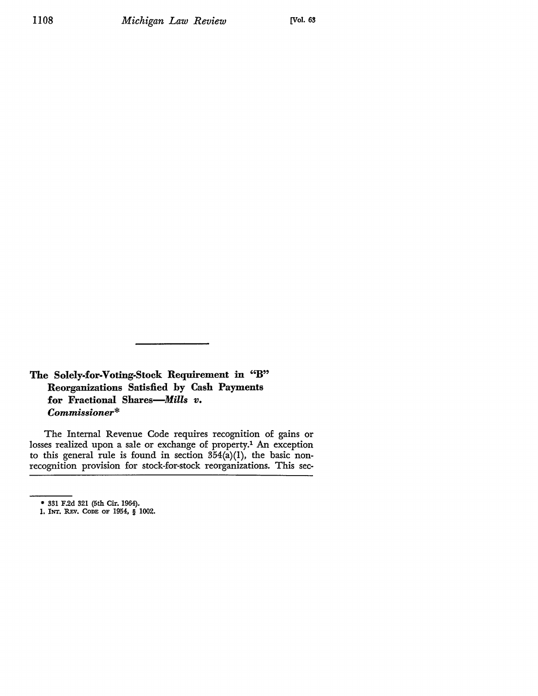**The Solely-for-Voting-Stock Requirement** in "B" **Reorganizations Satisfied by Cash Payments for Fractional** *Shares-Mills v. Commissioner\** 

The Internal Revenue Code requires recognition of gains or losses realized upon a sale or exchange of property.1 An exception to this general rule is found in section  $3\overline{5}4(a)(1)$ , the basic nonrecognition provision for stock-for-stock reorganizations. This sec-

<sup>• 331</sup> F.2d 321 (5th Cir. 1964).

<sup>1,</sup> JNT. R.Ev. CODE OF 1954, § 1002.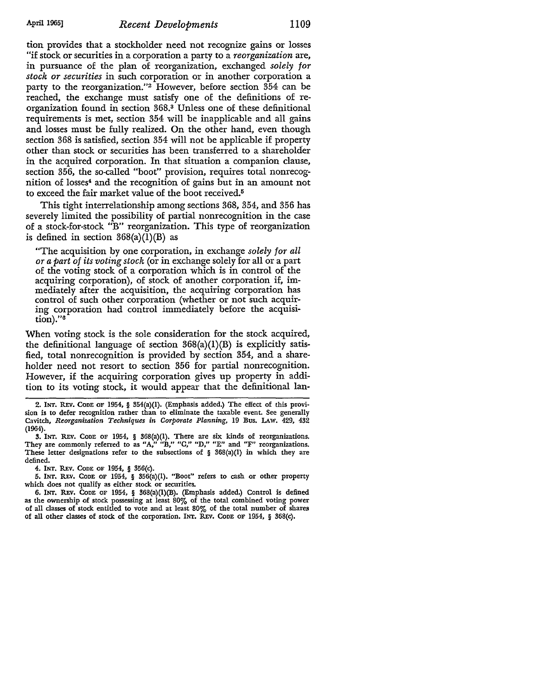tion provides that a stockholder need not recognize gains or losses "if stock or securities in a corporation a party to a *reorganization* are, in pursuance of the plan of reorganization, exchanged *solely for stock or securities* in such corporation or in another corporation a party to the reorganization."2 However, before section 354 can be reached, the exchange must satisfy one of the definitions of reorganization found in section 368.3 Unless one of these definitional requirements is met, section 354 will be inapplicable and all gains and losses must be fully realized. On the other hand, even though section 368 is satisfied, section 354 will not be applicable if property other than stock or securities has been transferred to a shareholder in the acquired corporation. In that situation a companion clause, section 356, the so-called "boot" provision, requires total nonrecognition of losses4 and the recognition of gains but in an amount not to exceed the fair market value of the boot received.<sup>5</sup>

This tight interrelationship among sections 368, 354, and 356 has severely limited the possibility of partial nonrecognition in the case of a stock-for-stock "B" reorganization. This type of reorganization is defined in section  $368(a)(1)(B)$  as

"The acquisition by one corporation, in exchange *solely for all or a part of its voting stock* (or in exchange solely for all or a part of the voting stock of a corporation which is in control of the acquiring corporation), of stock of another corporation if, immediately after the acquisition, the acquiring corporation has control of such other corporation (whether or not such acquiring corporation had control immediately before the acquisi- $\text{tion}$ )." $\text{6}$ 

When voting stock is the sole consideration for the stock acquired, the definitional language of section  $368(a)(1)(B)$  is explicitly satisfied, total nonrecognition is provided by section 354, and a shareholder need not resort to section 356 for partial nonrecognition. However, if the acquiring corporation gives up property in addition to its voting stock, it would appear that the definitional Ian-

2. **INT.** REY. CODE OF 1954, § 354(a)(l). (Emphasis added.) The effect of this provision is to defer recognition rather than to eliminate the taxable event. See generally Cavitch, *Reorganization Techniques in Corporate Planning,* 19 Bus. LAw. 429, 432 (1964).

3. INT. REV. CODE OF 1954, § 368(a)(1). There are six kinds of reorganizations. They are commonly referred to as "A," "B," "C," "D," "E" and "F" reorganizations. These letter designations refer to the subsections of  $\S$  368(a)(1) in which they are defined.

4. INT, REY. CODE OF 1954, § 356(c).

5. INT. R.Ev. CODE OF 1954, § 356(a)(l). "Boot" refers to cash or other property which does not qualify as either stock or securities.

6. INT. REV. Code of  $1954$ , §  $368(a)(1)(B)$ . (Emphasis added.) Control is defined as the ownership of stock possessing at least 80% of the total combined voting power of all classes of stock entitled to vote and at least 80% of the total number of shares of all other classes of stock of the corporation. INT. REY. CoDE OF 1954, § 368(c).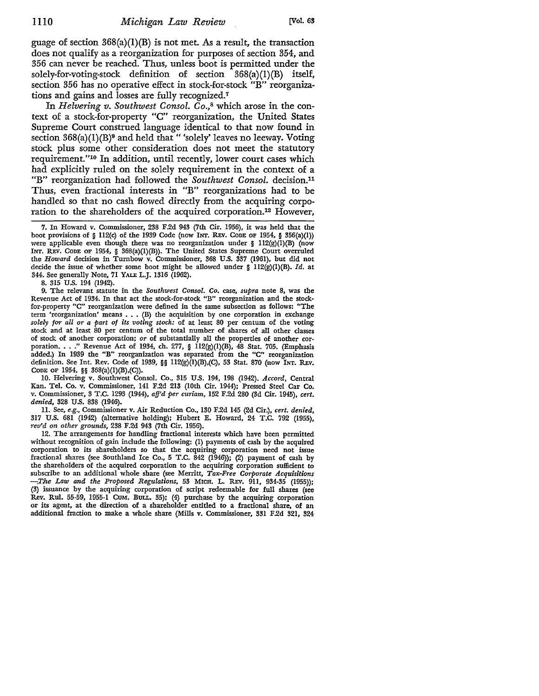guage of section  $368(a)(1)(B)$  is not met. As a result, the transaction does not qualify as a reorganization for purposes of section 354, and 356 can never be reached. Thus, unless boot is permitted under the solely-for-voting-stock definition of section 368(a)(l)(B) itself, section 356 has no operative effect in stock-for-stock "B" reorganizations and gains and losses are fully recognized.<sup>7</sup>

In *Helvering v. Southwest Consol. Co.*,<sup>8</sup> which arose in the context of a stock-for-property "C" reorganization, the United States Supreme Court construed language identical to that now found in section  $368(a)(1)(B)$ <sup>9</sup> and held that "'solely' leaves no leeway. Voting stock plus some other consideration does not meet the statutory requirement."10 In addition, until recently, lower court cases which had explicitly ruled on the solely requirement in the context of a "B" reorganization had followed the *Southwest Consol.* decision.<sup>11</sup> Thus, even fractional interests in "B" reorganizations had to be handled so that no cash flowed directly from the acquiring corporation to the shareholders of the acquired corporation.12 However,

8. 315 U.S. 194 (1942).

9. The relevant statute in the *Southwest Consol. Co.* case, *supra* note 8, was the Revenue Act of 1934. In that act the stock-for-stock "B" reorganization and the stock. for-property "C" reorganization were defined in the same subsection as follows: "The term 'reorganization' means . . . (B) the acquisition by one corporation in exchange *solely for all or a part of its voting stock:* of at least 80 per centum of the voting stock and at least 80 per centum of the total number of shares of all other classes of stock of another corporation; *or* of substantially all the properties of another corporation. . . " Revenue Act of 1934, ch. 277,  $\S$  112(g)(1)(B), 48 Stat. 705. (Emphasis added.) In 1939 the "B" reorganization was separated from the "C" reorganization definition. See Int. Rev. Code of 1939, §§ 112(g)(1)(B),(C), 53 Stat. 870 (now INT. REV. CODE OF 1954, §§ 368(a)(l)(B),(C)).

10. Helvering v. Southwest Consol. Co., 315 U.S. 194, 198 (1942). *Accord,* Central Kan. Tel. Co. v. Commissioner, 141 F.2d 213 (10th Cir. 1944); Pressed Steel Car Co. v. Commissioner, 3 T.C. 1293 (1944), *affd per curiam,* 152 F.2d 280 (3d Cir. 1945), *cert. denied,* 328 U.S. 838 (1946).

11. See, *e.g.,* Commissioner v. Air Reduction Co., 130 F.2d 145 (2d Cir.), *cert. denied,*  317 U.S. 681 (1942) (alternative holding); Hubert E. Howard, 24 T.C. 792 (1955), *retld on other grounds,* 238 F.2d 943 (7th Cir. 1956).

12. The arrangements for handling fractional interests which have been permitted without recognition of gain include the following: (1) payments of cash by the acquired corporation to its shareholders so that the acquiring corporation need not issue fractional shares (see Southland Ice Co., 5 T.C. 842 (1946)); (2) payment of cash by the shareholders of the acquired corporation to the acquiring corporation sufficient to subscribe to an additional whole share (see Merritt, *Tax-Free Corporate Acquisitions -.The Law and the Proposed Regulations,* 53 MICH. L. REv. 911, 934-35 (1955)); (3) issuance by the acquiring corporation of script redeemable for full shares (see Rev. Rul. 55-59, 1955-1 CUM. BuLL. 35); (4) purchase by the acquiring corporation or its agent, at the direction of a shareholder entitled to a fractional share, of an additional fraction to make a whole share (Mills v. Commissioner, 331 F.2d 321, 324

<sup>7.</sup> In Howard v. Commissioner, 238 F.2d 943 (7th Cir. 1956), it was held that the boot provisions of § 112(c) of the 1939 Code (now INT. REv. CODE OF 1954, § 356(a)(l)) were applicable even though there was no reorganization under § 112(g)(1)(B) (now INT. REV. CODE OF 1954, § 368(a)(l)(B)). The United States Supreme Court overruled the *Howard* decision in Turnbow v. Commissioner, 368 U.S. 337 (1961), but did not decide the issue of whether some boot might be allowed under § 112(g)(l)(B). *Id.* at 344. See generally Note, 71 YALE L.J. 1316 (1962).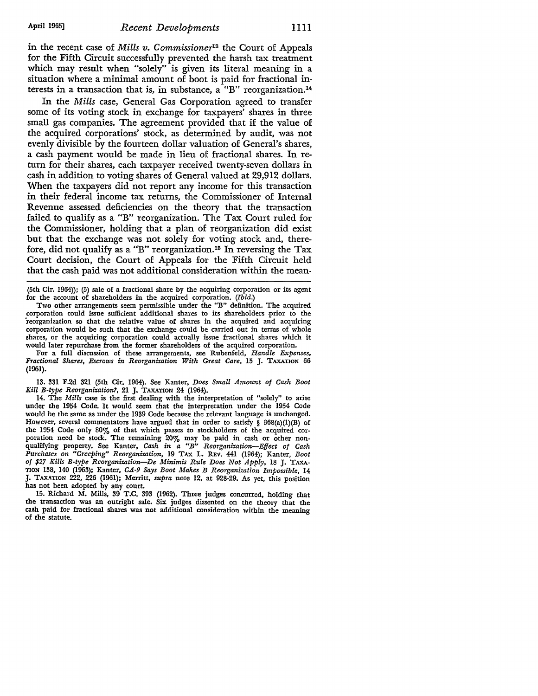in the recent case of *Mills v. Commissioner13* the Court of Appeals for the Fifth Circuit successfully prevented the harsh tax treatment which may result when "solely" is given its literal meaning in a situation where a minimal amount of boot is paid for fractional interests in a transaction that is, in substance, a "B" reorganization.<sup>14</sup>

In the *Mills* case, General Gas Corporation agreed to transfer some of its voting stock in exchange for taxpayers' shares in three small gas companies. The agreement provided that if the value of the acquired corporations' stock, as determined by audit, was not evenly divisible by the fourteen dollar valuation of General's shares, a cash payment would be made in lieu of fractional shares. In return for their shares, each taxpayer received twenty-seven dollars in cash in addition to voting shares of General valued at 29,912 dollars. When the taxpayers did not report any income for this transaction in their federal income tax returns, the Commissioner of Internal Revenue assessed deficiencies on the theory that the transaction failed to qualify as a "B" reorganization. The Tax Court ruled for the Commissioner, holding that a plan of reorganization did exist but that the exchange was not solely for voting stock and, therefore, did not qualify as a "B" reorganization.<sup>15</sup> In reversing the Tax Court decision, the Court of Appeals for the Fifth Circuit held that the cash paid was not additional consideration within the mean-

(5th Cir. 1964)); (5) sale of a fractional share by the acquiring corporation or its agent for the account of shareholders in the acquired corporation. *(Ibid.)* 

Two other arrangements seem permissible under the "B" definition. The acquired corporation could issue sufficient additional shares to its shareholders prior to the 'reorganization so that the relative value of shares in the acquired and acquiring corporation would be such that the exchange could be carried out in terms of whole shares, or the acquiring corporation could actually issue fractional shares which it would later repurchase from the former shareholders of the acquired corporation.

For a full discussion of these arrangements, see Rubenfeld, *Handle Expenses, Fractional Shares, Escrows in Reorganization With Great Care,* 15 J. TAXATION 66 (1961).

13. 331 F.2d 321 (5th Cir. 1964). See Kanter, *Does Small Amount of Cash Boot Kill B-type Reorganization?,* 21 J. TAXATION 24 (1964).

14. The *Mills* case is the first dealing with the interpretation of "solely" to arise under the 1954 Code. It would seem that the interpretation under the 1954 Code would be the same as under the 1939 Code because the relevant language is unchanged. However, several commentators have argued that in order to satisfy  $\S$  368(a)(l)(B) of the 1954 Code only 80% of that which passes to stockholders of the acquired corporation need be stock. The remaining 20% may be paid in cash or other nonqualifying property. See Kanter, *Cash in a "B" Reorganization-Effect of Cash Purchases on "Creeping" Reorganization,* 19 TAX L. REv. 441 (1964); Kanter, *Boot of \$27 Kills B-type Reorganization-De Minimis Rule Does Not Apply,* 18 J. TAXA· TION HIS, 140 (1963); Kanter, *CA-9 Says Boot Makes B Reorganization Impossible,* 14 J. TAXATION 222, 226 (1961); Merritt, *supra* note 12, at 928-29. As yet, this position has not been adopted by any court.

15. Richard M. Mills, 39 T.C. 393 (1962). Three judges concurred, holding that the transaction was an outright sale. Six judges dissented on the theory that the cash paid for fractional shares was not additional consideration within the meaning of the statute.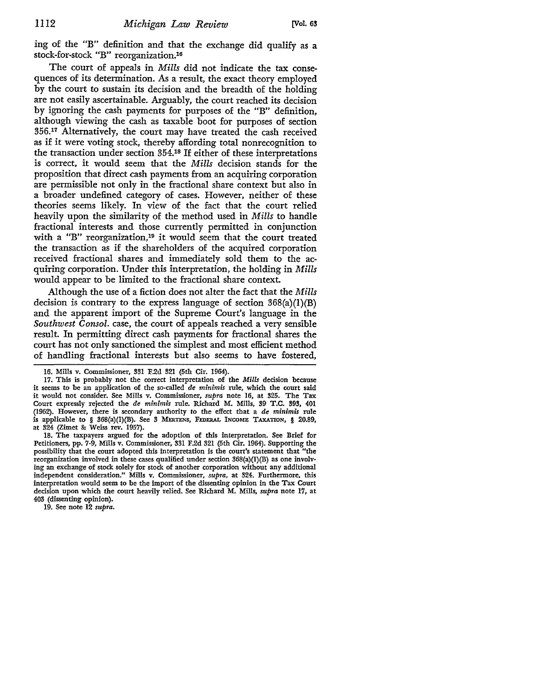ing of the "B" definition and that the exchange did qualify as a stock-for-stock "B" reorganization.16

The court of appeals in *Mills* did not indicate the tax consequences of its determination. As a result, the exact theory employed by the court to sustain its decision and the breadth of the holding are not easily ascertainable. Arguably, the court reached its decision by ignoring the cash payments for purposes of the "B" definition, although viewing the cash as taxable boot for purposes of section 356.17 Alternatively, the court may have treated the cash received as if it were voting stock, thereby affording total nonrecognition to the transaction under section 354.18 If either of these interpretations is correct, it would seem that the *Mills* decision stands for the proposition that direct cash payments from an acquiring corporation are permissible not only in the fractional share context but also in a broader undefined category of cases. However, neither of these theories seems likely. In view of the fact that the court relied heavily upon the similarity of the method used in *Mills* to handle fractional interests and those currently permitted in conjunction with a "B" reorganization,19 it would seem that the court treated the transaction as if the shareholders of the acquired corporation received fractional shares and immediately sold them to the acquiring corporation. Under this interpretation, the holding in Mills would appear to be limited to the fractional share context.

Although the use of a fiction does not alter the fact that the *Mills*  decision is contrary to the express language of section  $368(a)(1)(B)$ and the apparent import of the Supreme Court's language in the *Southwest Consol.* case, the court of appeals reached a very sensible result. In permitting direct cash payments for fractional shares the court has not only sanctioned the simplest and most efficient method of handling fractional interests but also seems to have fostered,

19. See note 12 *supra.* 

<sup>16.</sup> Mills v. Commissioner, 331 F.2d 321 (5th Cir. 1964).

<sup>17.</sup> This is probably not the correct interpretation of the *Mills* decision because it seems to be an application of the so•called *de minimis* rule, which the court said it would not consider. See Mills v. Commissioner, *supra* note 16, at 325. The Tax Court expressly rejected the *de minimis* rule. Richard M. Mills, 39 T.C. 393, 401 (1962). However, there is secondary authority to the effect that a *de minimis* rule is applicable to § 368(a)(l)(B). See 3 MERTENS, FEDERAL INCOME TAXATION, § 20.89, at 324 (Zimet & Weiss rev. 1957).

<sup>18.</sup> The taxpayers argued for the adoption of this interpretation. See Brief for Petitioners, pp. 7-9, Mills v. Commissioner, 331 F.2d 321 (5th Cir. 1964). Supporting the possibility that the court adopted this interpretation is the court's statement that "the reorganization involved in these cases qualified under section 368(a)(l)(B) as one involving an exchange of stock solely for stock of another corporation without any additional independent consideration." Mills v. Commissioner, *supra,* at 324. Furthermore, this interpretation would seem to be the import of the dissenting opinion in the Tax Court decision upon which the court heavily relied. See Richard M. Mills, *supra* note 17, at 403 (dissenting opinion).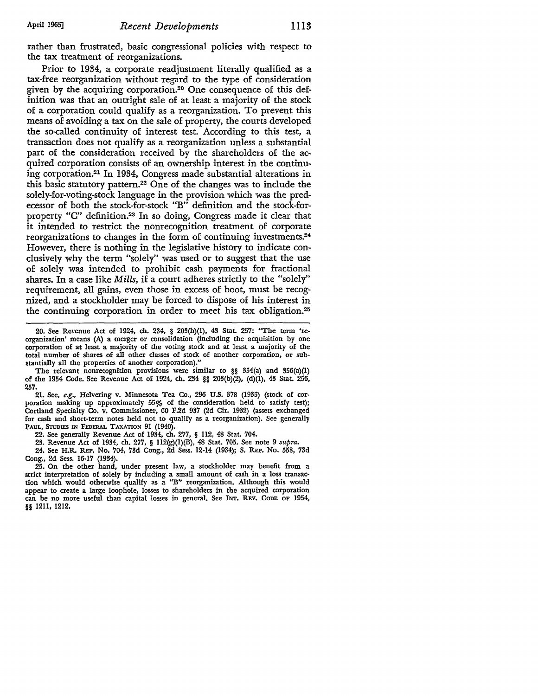rather than frustrated, basic congressional policies with respect to the tax treatment of reorganizations.

Prior to 1934, a corporate readjustment literally qualified as a tax-free reorganization without regard to the type of consideration given by the acquiring corporation.20 One consequence of this definition was that an outright sale of at least a majority of the stock of a corporation could qualify as a reorganization. To prevent this means of avoiding a tax on the sale of property, the courts developed the so-called continuity of interest test. According to this test, a transaction does not qualify as a reorganization unless a substantial part of the consideration received by the shareholders of the acquired corporation consists of an ownership interest in the continuing corporation.21 In 1934, Congress made substantial alterations in this basic statutory pattem.22 One of the changes was to include the solely-for-voting-stock language in the provision which was the predecessor of both the stock-for-stock "B" definition and the stock-forproperty "C" definition.23 In so doing, Congress made it clear that it intended to restrict the nonrecognition treatment of corporate reorganizations to changes in the form of continuing investments.24 However, there is nothing in the legislative history to indicate conclusively why the term "solely" was used or to suggest that the use of solely was intended to prohibit cash payments for fractional shares. In a case like *Mills,* if a court adheres strictly to the "solely" requirement, all gains, even those in excess of boot, must be recognized, and a stockholder may be forced to dispose of his interest in the continuing corporation in order to meet his tax obligation.25

20. See Revenue Act of 1924, ch. 234, § 203(h)(l), 43 Stat. 257: "The term 'reorganization' means (A) a merger or consolidation (including the acquisition by one corporation of at least a majority of the voting stock and at least a majority of the total number of shares of all other classes of stock of another corporation, or substantially all the properties of another corporation)."

The relevant nonrecognition provisions were similar to §§ 354(a) and 356(a)(l) of the 1954 Code. See Revenue Act of 1924, ch. 234 §§ 203(b)(2), (d)(l), 43 Stat. 256, 257.

21. See, *e.g.,* Helvering v. Minnesota Tea Co., 296 U.S. 378 (1935) (stock of corporation making up approximately 55% of the consideration held to satisfy test); Cortland Specialty Co. v. Commissioner, 60 F.2d 937 (2d Cir. 1932) (assets exchanged for cash and short-term notes held not to qualify as a reorganization). See generally PAUL, STUDIES IN FEDERAL TAXATION 91 (1940).

22. See generally Revenue Act of 1934, ch. 277, § 112, 48 Stat. 704.

23. Revenue Act of 1934, ch. 277, § 112(g)(l)(B), 48 Stat. 705. See note 9 *supra.* 

24. See H.R. REP. No. 704, 73d Cong., 2d Sess. 12-14 (1934); S. REP. No. 558, 73d Cong., 2d Sess. 16-17 (1934).

25. On the other hand, under present law, a stockholder may benefit from a strict interpretation of solely by including a small amount of cash in a loss transaction which would otherwise qualify as a "B" reorganization. Although this would appear to create a large loophole, losses to shareholders in the acquired corporation can be no more useful than capital losses in general. See INT. REV. CoDE OF 1954, §§ 1211, 1212.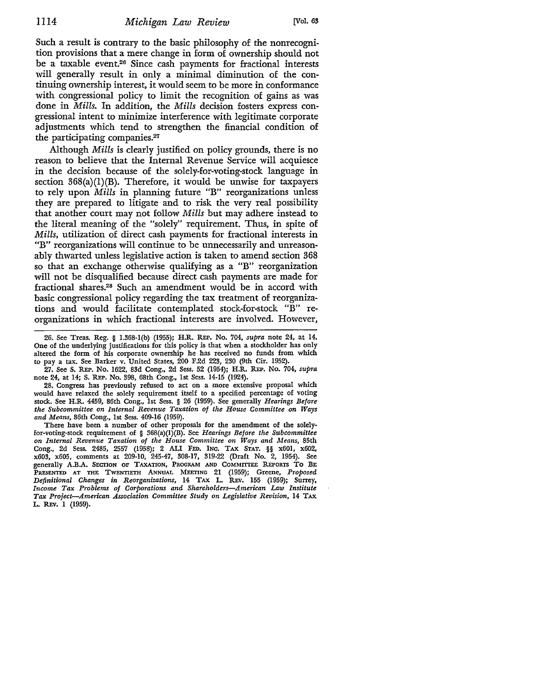Such a result is contrary to the basic philosophy of the nonrecognition provisions that a mere change in form of ownership should not be a taxable event.26 Since cash payments for fractional interests will generally result in only a minimal diminution of the continuing ownership interest, it would seem to be more in conformance with congressional policy to limit the recognition of gains as was done in *Mills.* In addition, the *Mills* decision fosters express congressional intent to minimize interference with legitimate corporate adjustments which tend to strengthen the financial condition of the participating companies.27

Although *Mills* is clearly justified on policy grounds, there is no reason to believe that the Internal Revenue Service will acquiesce in the decision because of the solely-for-voting-stock language in section  $368(a)(1)(B)$ . Therefore, it would be unwise for taxpayers to rely upon *Mills* in planning future "B" reorganizations unless they are prepared to litigate and to risk the very real possibility that another court may not follow *Mills* but may adhere instead to the literal meaning of the "solely" requirement. Thus, in spite of *Mills,* utilization of direct cash payments for fractional interests in "B" reorganizations will continue to be unnecessarily and unreasonably thwarted unless legislative action is taken to amend section 368 so that an exchange otherwise qualifying as a "B" reorganization will not be disqualified because direct cash payments are made for fractional shares.28 Such an amendment would be in accord with basic congressional policy regarding the tax treatment of reorganizations and would facilitate contemplated stock-for-stock "B" reorganizations in which fractional interests are involved. However,

26. See Treas. Reg. § 1.368-l(b) (1955); H.R. REP. No. 704, *supra* note 24, at 14. One of the underlying justifications for this policy is that when a stockholder has only altered the form of his corporate ownership he has received no funds from which to pay a tax. See Barker v. United States, 200 F.2d 223, 230 (9th Cir. 1952).

27. See S. REP. No. 1622, 83d Cong., 2d Sess. 52 (1954); H.R. REP. No. 704, *supra*  note 24, at 14; S. REP. No. 398, 68th Cong., 1st Sess. 14-15 (1924).

28. Congress has previously refused to act on a more extensive proposal which would have relaxed the solely requirement itself to a specified percentage of voting stock. See H.R. 4459, 86th Cong., 1st Sess. § 26 (1959). See generally *Hearings Before the Subcommittee on Internal Revenue Taxation of the House Committee on Ways and Means,* 86th Cong., 1st Sess. 409-16 (1959).

There have been a number of other proposals for the amendment of the solelyfor-voting-stock requirement of § 368(a)(l)(B). See *Hearings Before the Subcommittee on Internal Revenue Taxation of the House Committee on Ways and Means,* 85th Cong., 2d Sess. 2485, 2557 (1958); 2 ALI FED. INC. TAX STAT. §§ x601, x602, x603, x605, comments at 209-10, 245-47, 308-17, 319-22 (Draft No. 2, 1954). See generally A.B.A. SECTION OF TAXATION, PROGRAM AND CoMMITIEE REPORTS To BE PRESENTED AT THE TWENTIETH ANNUAL MEETING 21 (1959); Greene, *Proposed Definitional Changes in Reorganizations,* 14 TAX L. REv. 155 (1959); Surrey, *Income Tax Problems of Corporations and Shareholders-American Law Institute Tax Project-American Association Committee Study on Legislative Revision,* 14 TAX L. REV. 1 (1959).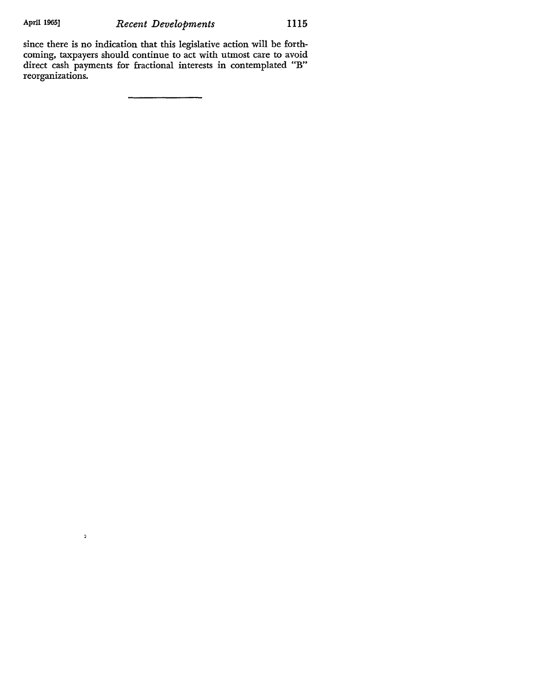$\mathfrak z$ 

since there is no indication that this legislative action will be forthcoming, taxpayers should continue to act with utmost care to avoid direct cash payments for fractional interests in contemplated "B" reorganizations.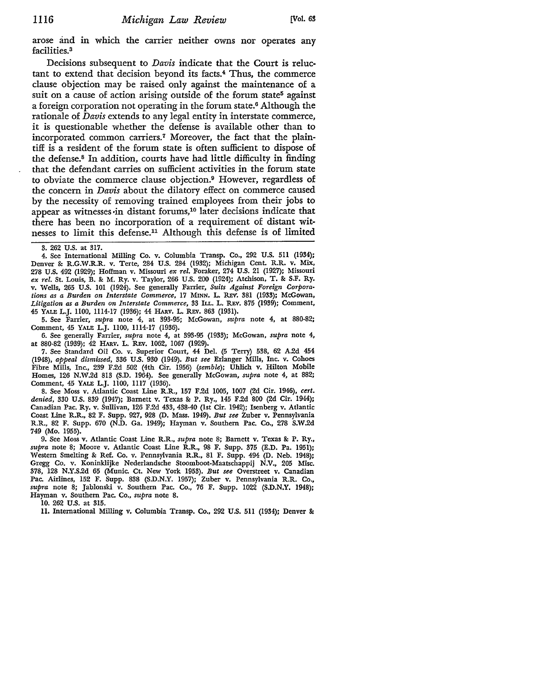arose and in which the carrier neither owns nor operates any facilities.<sup>3</sup>

Decisions subsequent to *Davis* indicate that the Court is reluctant to extend that decision beyond its facts. 4 Thus, the commerce clause objection may be raised only against the maintenance of a suit on a cause of action arising outside of the forum state<sup>5</sup> against a foreign corporation not operating in the forum state.<sup>6</sup> Although the rationale of *Davis* extends to any legal entity in interstate commerce, it is questionable whether the defense is available other than to incorporated common carriers.<sup>7</sup> Moreover, the fact that the plaintiff is a resident of the forum state is often sufficient to dispose of the defense.8 In addition, courts have had little difficulty in finding that the defendant carries on sufficient activities in the forum state to obviate the commerce clause objection.9 However, regardless of the concern in *Davis* about the dilatory effect on commerce caused by the necessity of removing trained employees from their jobs to appear as witnesses-in distant forums,10 later decisions indicate that there has been no incorporation of a requirement of distant witnesses to limit this defense.<sup>11</sup> Although this defense is of limited

4. See International Milling Co. v. Columbia Transp. Co., 292 U.S. 511 (1934); Denver & R.G.W.R.R. v. Terte, 284 U.S. 284 (1932); Michigan Cent. R.R. v. Mix, 278 U.S. 492 (1929); Hoffman v. Missouri *ex rel.* Foraker, 274 U.S. 21 (1927); Missouri *ex rel.* St. Louis, B. **&** M. Ry. v. Taylor, 266 U.S. 200 (1924); Atchison, T. **&** S.F. Ry. v. Wells, 265 U.S. 101 (1924). See generally Farrier, *Suits Against Foreign Corporations as a Burden on Interstate Commerce,* 17 **MINN.** L. Rv. **381** (1933); McGowan, *Litigation as a Burden on Interstate Commerce,* **33** ILL. L. **REv.** 875 (1939); Comment, 45 YALE L.J. 1100, 1114-17 (1936); 44 HARV. L. REV. 863 (1931).

5. See Farrier, *supra* note 4, at 393-95; McGowan, *supra* note 4, at 880-82; Comment, 45 **YALE** L.J. 1100, 1114-17 (1936).

**6.** See generally Farrier, *supra* note 4, at **393-95** (1933); McGowan, *supra* note 4, at **880-82 (1939);** 42 HAsv. L. Rxv. 1062, **1067** (1929).

**7.** See Standard Oil Co. v. Superior Court, 44 Del. **(5** Terry) **538, 62 A.2d** 454 (1948), *appeal dismissed,* **336 U.S. 930** (1949). *But see* Erlanger Mills, Inc. v. Cohoes Fibre Mills, Inc., **239 F.2d 502** (4th Cir. **1956)** *(semble);* **Uhich** v. Hilton Mobile Homes, **126 N.W.2d 813 (S.D.** 1964). See generally McGowan, *supra* note 4, at **882;** Comment, 45 YALE L.J. **1100, 1117 (1936).**

**8.** See Moss v. Atlantic Coast Line R.R., **157 F.2d 1005, 1007 (2d** Cir. 1946), *cert. denied,* **330 U.S. 839** (1947); Barnett v. Texas **&** P. Ry., 145 **F.2d 800 (2d** Cir. 1944); Canadian Pac. Ry. v. Sullivan, **126 F.2d** 433, 438-40 (1st Cir. 1942); Isenberg v. Atlantic Coast Line R.R., **82** F. Supp. 927, **928 (D.** Mass. 1949). *But see* Zuber v. Pennsylvania R.R., **82** F. Supp. **670 (N.D.** Ga. 1949); Hayman v. Southern Pac. Co., **278 S.W.2d** 749 (Mo. **1955).**

**9.** See Moss v. Atlantic Coast Line R.R., *supra* note **8;** Barnett v. Texas **&** P. Ry., *supra* note **8;** Moore v. Atlantic Coast Line R.R., **98** F. Supp. **375 (E.D.** Pa. **1951);** Western Smelting **&** Ref. Co. v. Pennsylvania R.R., **81** F. Supp. 494 **(D.** Neb. 1948); Gregg Co. v. Koninklijke Nederlandsche Stoomboot-Maatschappij **N.V., 205** Misc. **378, 128 N.Y.S.2d 65** (Munic. Ct. New York **1953).** *But see* Overstreet v. Canadian Pac. Airlines, **152** F. Supp. **888 (S.D.N.Y. 1957);** Zuber v. Pennsylvania R.R. Co., *supra* note **8;** Jablonski v. Southern Pac. Co., **76** F. Supp. 1022 **(S.D.N.Y.** 1948); Hayman v. Southern Pac. Co., *supra* note **8.**

**10.** 262 **U.S.** at **315.**

11. International Milling v. Columbia Transp. Co., 292 U.S. 511 (1934); Denver &

**<sup>3.</sup>** 262 **U.S.** at **317.**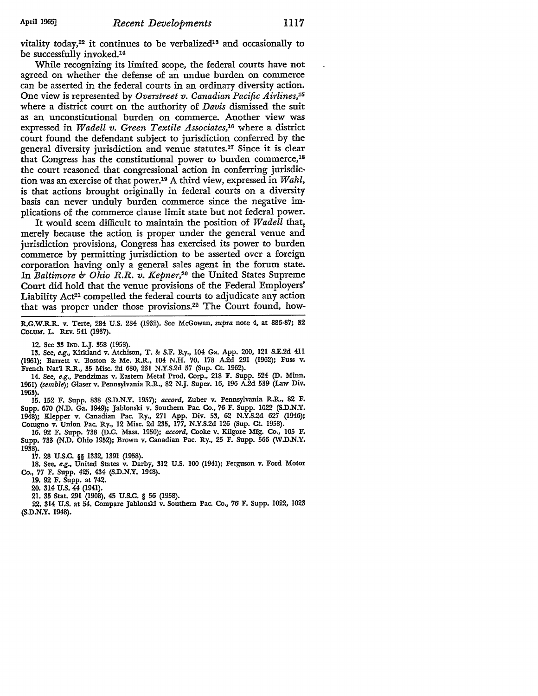vitality today,<sup>12</sup> it continues to be verbalized<sup>13</sup> and occasionally to be successfully invoked.<sup>14</sup>

While recognizing its limited scope, the federal courts have not agreed on whether the defense of an undue burden on commerce can be asserted in the federal courts in an ordinary diversity action. One view is represented by *Overstreet v. Canadian Pacific Airlines, <sup>5</sup>* where a district court on the authority of *Davis* dismissed the suit as an unconstitutional burden on commerce. Another view was expressed in *Wadell v. Green Textile Associates,'6* where a district court found the defendant subject to jurisdiction conferred by the general diversity jurisdiction and venue statutes.<sup>17</sup> Since it is clear that Congress has the constitutional power to burden commerce,<sup>18</sup> the court reasoned that congressional action in conferring jurisdiction was an exercise of that power.<sup>19</sup> A third view, expressed in *Wahl*, is that actions brought originally in federal courts on a diversity basis can never unduly burden commerce since the negative implications of the commerce clause limit state but not federal power.

It would seem difficult to maintain the position of *Wadell* that, merely because the action is proper under the general venue and jurisdiction provisions, Congress has exercised its power to burden commerce by permitting jurisdiction to be asserted over a foreign corporation having only a general sales agent in the forum state. In *Baltimore & Ohio R.R. v. Kepner,20* the United States Supreme Court did hold that the venue provisions of the Federal Employers' Liability Act<sup>21</sup> compelled the federal courts to adjudicate any action that was proper under those provisions.<sup>22</sup> The Court found, how-

R.G.W.R.R. v. Terte, 284 **U.S.** 284 **(1932).** See McGowan, *supra* note 4, at **886-87; 32** COLum. L. REv. 541 **(1937).**

12. See **33** IND. L.J. **358 (1958).**

**13.** See, e.g., Kirkland v. Atchison, T. **&** S.F. Ry., 104 Ga. App. 200, 121 SXE.2d 411 (1961); Barrett v. Boston Sc Me. R.R., 104 N.H. 70, 178 A.2d 291 (1962); Fuss v. French Nat'l R.R., 35 Misc. 2d 680, 231 N.Y.S.2d 57 (Sup. Ct. 1962).

14. See, e.g., Pendzimas v. Eastern Metal Prod. Corp., 218 F. Supp. 524 (D. Minn. 1961) *(semble);* Glaser v. Pennsylvania R.R., 82 N.J. Super. **16,** 196 A.2d **539** (Law Div. 1963).

15. 152 F. Supp. **838** (S.D.N.Y. 1957); *accord,* Zuber v. Pennsylvania R.R., 82 F. Supp. 670 (N.D. Ga. 1949); Jablonski v. Southern Pac. Co., 76 F. Supp. 1022 (S.D.N.Y. 1948); Klepper v. Canadian Pac. Ry., 271 App. Div. **53,** 62 N.Y.S.2d 627 (1946); Cotugno v. Union Pac. Ry., 12 Misc. 2d **235,** 177, N.Y.S.2d 126 (Sup. Ct. 1958).

16. 92 F. Supp. 738 (D.C. Mass. 1950); *accord,* Cooke v. Kilgore Mfg. Co., 105 F. Supp. **733** (N.D. Ohio 1952); Brown v. Canadian Pac. Ry., 25 F. Supp. **566** (W.D.N.Y. 1938).

17. 28 U.S.C. *§§* **1332,** 1391 (1958).

**18.** See, e.g., United States v. Darby, **312** U.S. 100 (1941); Ferguson v. Ford Motor Co., 77 F. Supp. 425, 434 (S.D.N.Y. 1948).

19. 92 F. Supp. at 742.

20. 314 **U.S.** 44 (1941).

21. **35** Stat. **291 (1908),** 45 **U.S.C.** § **56 (1958).**

22. 314 **U.S.** at 54. Compare Jablonski v. Southern Pac. Co., **76** F. Supp. 1022, **1023 (S.D.N.Y.** 1948).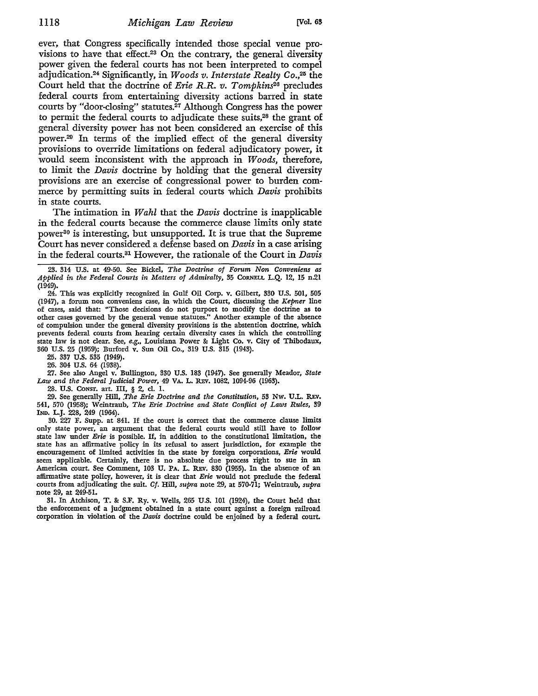ever, that Congress specifically intended those special venue provisions to have that effect.<sup>23</sup> On the contrary, the general diversity power given the federal courts has not been interpreted to compel adjudication. 24 Significantly, in *Woods v. Interstate Realty Co.,25* the Court held that the doctrine of *Erie R.R. v. Tompkins26* precludes federal courts from entertaining diversity actions barred in state courts by "door-closing" statutes.<sup>27</sup> Although Congress has the power to permit the federal courts to adjudicate these suits,<sup>28</sup> the grant of general diversity power has not been considered an exercise of this power.29 In terms of the implied effect of the general diversity provisions to override limitations on federal adjudicatory power, it would seem inconsistent with the approach in *Woods,* therefore, to limit the *Davis* doctrine by holding that the general diversity provisions are an exercise of congressional power to burden commerce by permitting suits in federal courts which *Davis* prohibits in state courts.

The intimation in *Wahl* that the *Davis* doctrine is inapplicable in the federal courts because the commerce clause limits only state power<sup>30</sup> is interesting, but unsupported. It is true that the Supreme Court has never considered a defense based on *Davis* in a case arising in the federal courts.81 However, the rationale of the Court in *Davis*

**23.** 314 **U.S.** at 49-50. See Bickel, *The Doctrine of Forum Non Conveniens as Applied in the Federal Courts in Matters of Admiralty,* **35** CoaNELL L.Q. 12, **15** n.21 (1949).

24. This was explicitly recognized in Gulf Oil Corp. v. Gilbert, 330 U.S. 501, 505 (1947), a forum non conveniens case, in which the Court, discussing the *Kepner* line of cases, said that: "Those decisions do not purport to modify the doctrine as to other cases governed by the general venue statutes." Another example of the absence of compulsion under the general diversity provisions is the abstention doctrine, which prevents federal courts from hearing certain diversity cases in which the controlling state law is not clear. See, e.g., Louisiana Power & Light Co. v. City of Thibodaux, 360 U.S. **25** (1959); Burford v. Sun Oil Co., 319 **U.S.** 315 (1943).

**25.** 337 **U.S. 535** (1949).

26. 304 **U.S.** 64 (1938).

**27.** See also Angel v. Bullington, 330 U.S. 183 (1947). See generally Meador, *State Law and the Federal Judicial Power,* 49 VA. L. Rav. 1082, 1094-96 (1963).

28. **U.S.** CoNsr. art. III, § 2, cl. 1.

**29.** See generally Hill, *.The Erie Doctrine and the Constitution,* **53** Nw. **U.L.** REv. 541, **570** (1958); Weintraub, *The Erie Doctrine and State Conflict of Laws Rules, 39* IND. L.J. 228, 249 (1964).

30. 227 F. Supp. at 841. If the court is correct that the commerce clause limits only state power, an argument that the federal courts would still have to follow state law under *Erie* is possible. If, in addition to the constitutional limitation, the state has an affirmative policy in its refusal to assert jurisdiction, for example the encouragement of limited activities in the state by foreign corporations, *Erie* would seem applicable. Certainly, there is no absolute due process right to sue in an American court. See Comment, 103 U. PA. L. REV. 830 (1955). In the absence of an affirmative state policy, however, it is clear that *Erie* would not preclude the federal courts from adjudicating the suit. *Cf.* Hill, *supra* note 29, at 570-71; Weintraub, *supra* note 29, at 249-51.

**31.** In Atchison, T. **&** S.F. Ry. v. Wells, **265 US.** 101 (1924), the Court held that the enforcement of a judgment obtained in a state court against a foreign railroad corporation in violation of the *Davis* doctrine could be enjoined **by** a federal court.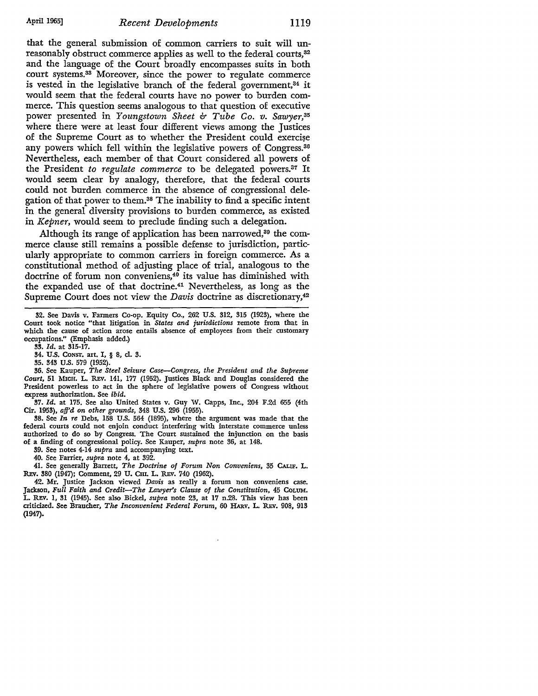that the general submission of common carriers to suit will unreasonably obstruct commerce applies as well to the federal courts,<sup>32</sup> and the language of the Court broadly encompasses suits in both court systems. 33 Moreover, since the power to regulate commerce is vested in the legislative branch of the federal government,<sup>34</sup> it would seem that the federal courts have no power to burden commerce. This question seems analogous to that question of executive power presented in *Youngstown Sheet & Tube Co. v. Sawyer,35* where there were at least four different views among the Justices of the Supreme Court as to whether the President could exercise any powers which fell within the legislative powers of Congress.<sup>36</sup> Nevertheless, each member of that Court considered all powers of the President *to regulate commerce* to be delegated powers.<sup>37</sup> It would seem clear by analogy, therefore, that the federal courts could not burden commerce in the absence of congressional delegation of that power to them. 38 The inability to find a specific intent in the general diversity provisions to burden commerce, as existed in *Kepner,* would seem to preclude finding such a delegation.

Although its range of application has been narrowed,<sup>39</sup> the commerce clause still remains a possible defense to jurisdiction, particularly appropriate to common carriers in foreign commerce. As a constitutional method of adjusting place of trial, analogous to the doctrine of forum non conveniens,40 its value has diminished with the expanded use of that doctrine.<sup>41</sup> Nevertheless, as long as the Supreme Court does not view the *Davis* doctrine as discretionary,<sup>42</sup>

**33.** *Id.* at **315-17.**

**37.** *Id.* at **175.** See also United States v. Guy W. Capps, Inc., 204 **F.2d 655** (4th Cir. 1953), *aff'd on other grounds,* 348 U.S. **296** (1955).

38. See *In re* Debs, **158** U.S. 564 (1895), where the argument was made that the federal courts could not enjoin conduct interfering with interstate commerce unless authorized to do so **by** Congress. The Court sustained the injunction on the basis of a finding of congressional policy. See Kauper, *supra* note **36,** at 148.

**39.** See notes 4-14 *supra* and accompanying text.

40. See Farrier, *supra* note 4, at 392.

41. See generally Barrett, *The Doctrine of Forum Non Conveniens,* **35** *CALF.* L. **Rav. 380** (1947); Comment, 29 **U. CH.** L. REv. 740 **(1962).**

42. Mr. Justice Jackson viewed *Davis* as really a forum non conveniens case. Jackson, *Full Faith and Credit-The Lawyer's Clause of the Constitution,* 45 COLUm. L. **Rv. 1,** 31 (1945). See also Bickel, *supra* note **23,** at **17** n.28. This view has been criticized. See Braucher, *The Inconvenient Federal Forum,* **60 HARv.** L. R1v. **908,** 913 (1947).

**<sup>32.</sup>** See Davis v. Farmers Co-op. Equity Co., 262 **U.S.** 312, 315 (1923), where the Court took notice "that litigation in *States and jurisdictions* remote from that in which the cause of action arose entails absence **of** employees from their customary occupations." (Emphasis added.)

<sup>34.</sup> U.S. CONST. art. I, § 8, cl. 3.

**<sup>35.</sup>** 343 U.S. **579** (1952). **36.** See Kauper, *The Steel Seizure Case-Congress, the President and the Supreme Court,* **51** MicH. L. REv. 141, 177 (1952). Justices Black and Douglas considered the President powerless to act in the sphere of legislative powers of Congress without express authorization. See *ibid.*